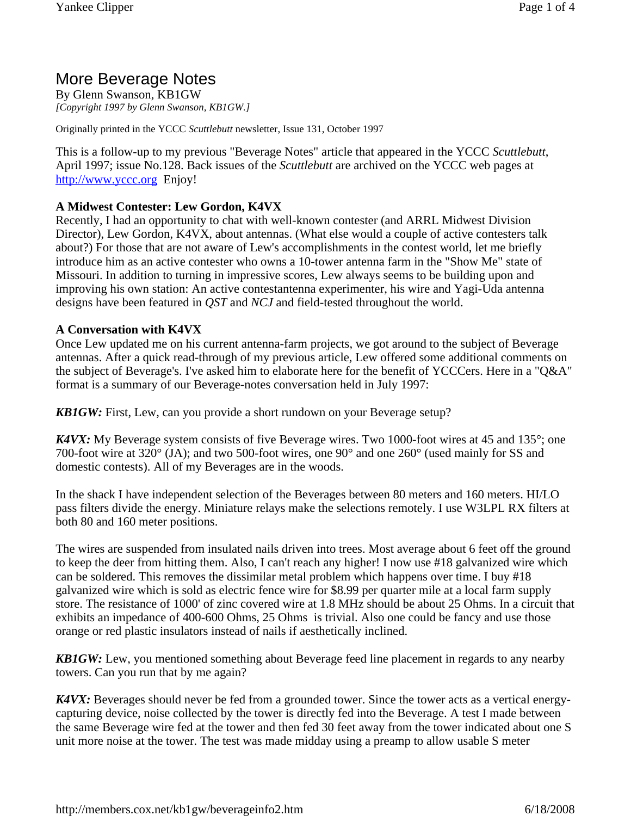# More Beverage Notes

By Glenn Swanson, KB1GW *[Copyright 1997 by Glenn Swanson, KB1GW.]*

Originally printed in the YCCC *Scuttlebutt* newsletter, Issue 131, October 1997

This is a follow-up to my previous "Beverage Notes" article that appeared in the YCCC *Scuttlebutt*, April 1997; issue No.128. Back issues of the *Scuttlebutt* are archived on the YCCC web pages at http://www.yccc.org Enjoy!

### **A Midwest Contester: Lew Gordon, K4VX**

Recently, I had an opportunity to chat with well-known contester (and ARRL Midwest Division Director), Lew Gordon, K4VX, about antennas. (What else would a couple of active contesters talk about?) For those that are not aware of Lew's accomplishments in the contest world, let me briefly introduce him as an active contester who owns a 10-tower antenna farm in the "Show Me" state of Missouri. In addition to turning in impressive scores, Lew always seems to be building upon and improving his own station: An active contestantenna experimenter, his wire and Yagi-Uda antenna designs have been featured in *QST* and *NCJ* and field-tested throughout the world.

#### **A Conversation with K4VX**

Once Lew updated me on his current antenna-farm projects, we got around to the subject of Beverage antennas. After a quick read-through of my previous article, Lew offered some additional comments on the subject of Beverage's. I've asked him to elaborate here for the benefit of YCCCers. Here in a "Q&A" format is a summary of our Beverage-notes conversation held in July 1997:

*KB1GW:* First, Lew, can you provide a short rundown on your Beverage setup?

*K4VX:* My Beverage system consists of five Beverage wires. Two 1000-foot wires at 45 and 135°; one 700-foot wire at 320° (JA); and two 500-foot wires, one 90° and one 260° (used mainly for SS and domestic contests). All of my Beverages are in the woods.

In the shack I have independent selection of the Beverages between 80 meters and 160 meters. HI/LO pass filters divide the energy. Miniature relays make the selections remotely. I use W3LPL RX filters at both 80 and 160 meter positions.

The wires are suspended from insulated nails driven into trees. Most average about 6 feet off the ground to keep the deer from hitting them. Also, I can't reach any higher! I now use #18 galvanized wire which can be soldered. This removes the dissimilar metal problem which happens over time. I buy #18 galvanized wire which is sold as electric fence wire for \$8.99 per quarter mile at a local farm supply store. The resistance of 1000' of zinc covered wire at 1.8 MHz should be about 25 Ohms. In a circuit that exhibits an impedance of 400-600 Ohms, 25 Ohms is trivial. Also one could be fancy and use those orange or red plastic insulators instead of nails if aesthetically inclined.

*KB1GW:* Lew, you mentioned something about Beverage feed line placement in regards to any nearby towers. Can you run that by me again?

*K4VX:* Beverages should never be fed from a grounded tower. Since the tower acts as a vertical energycapturing device, noise collected by the tower is directly fed into the Beverage. A test I made between the same Beverage wire fed at the tower and then fed 30 feet away from the tower indicated about one S unit more noise at the tower. The test was made midday using a preamp to allow usable S meter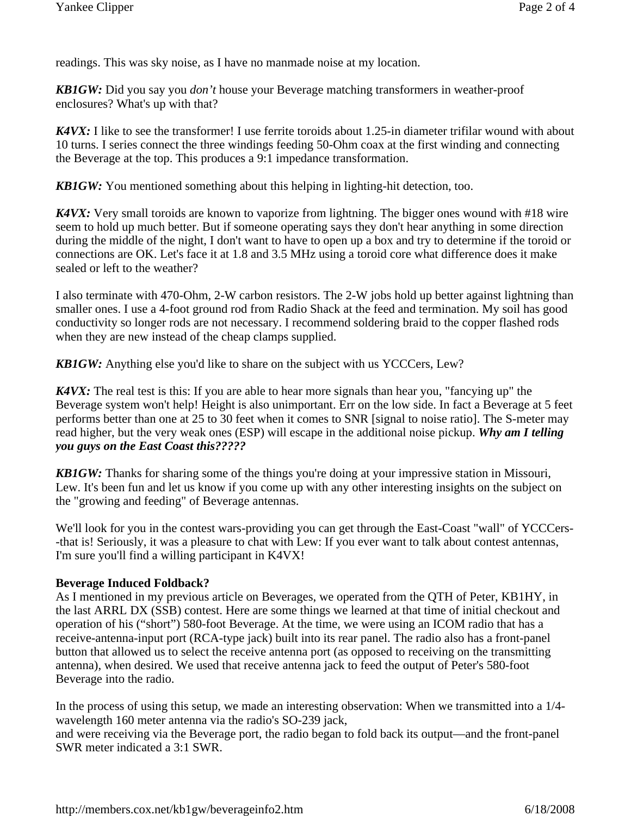readings. This was sky noise, as I have no manmade noise at my location.

*KB1GW:* Did you say you *don't* house your Beverage matching transformers in weather-proof enclosures? What's up with that?

*K4VX*: I like to see the transformer! I use ferrite toroids about 1.25-in diameter trifilar wound with about 10 turns. I series connect the three windings feeding 50-Ohm coax at the first winding and connecting the Beverage at the top. This produces a 9:1 impedance transformation.

*KB1GW:* You mentioned something about this helping in lighting-hit detection, too.

*K4VX:* Very small toroids are known to vaporize from lightning. The bigger ones wound with #18 wire seem to hold up much better. But if someone operating says they don't hear anything in some direction during the middle of the night, I don't want to have to open up a box and try to determine if the toroid or connections are OK. Let's face it at 1.8 and 3.5 MHz using a toroid core what difference does it make sealed or left to the weather?

I also terminate with 470-Ohm, 2-W carbon resistors. The 2-W jobs hold up better against lightning than smaller ones. I use a 4-foot ground rod from Radio Shack at the feed and termination. My soil has good conductivity so longer rods are not necessary. I recommend soldering braid to the copper flashed rods when they are new instead of the cheap clamps supplied.

*KB1GW:* Anything else you'd like to share on the subject with us YCCCers, Lew?

*K4VX:* The real test is this: If you are able to hear more signals than hear you, "fancying up" the Beverage system won't help! Height is also unimportant. Err on the low side. In fact a Beverage at 5 feet performs better than one at 25 to 30 feet when it comes to SNR [signal to noise ratio]. The S-meter may read higher, but the very weak ones (ESP) will escape in the additional noise pickup. *Why am I telling you guys on the East Coast this?????*

*KB1GW:* Thanks for sharing some of the things you're doing at your impressive station in Missouri, Lew. It's been fun and let us know if you come up with any other interesting insights on the subject on the "growing and feeding" of Beverage antennas.

We'll look for you in the contest wars-providing you can get through the East-Coast "wall" of YCCCers--that is! Seriously, it was a pleasure to chat with Lew: If you ever want to talk about contest antennas, I'm sure you'll find a willing participant in K4VX!

### **Beverage Induced Foldback?**

As I mentioned in my previous article on Beverages, we operated from the QTH of Peter, KB1HY, in the last ARRL DX (SSB) contest. Here are some things we learned at that time of initial checkout and operation of his ("short") 580-foot Beverage. At the time, we were using an ICOM radio that has a receive-antenna-input port (RCA-type jack) built into its rear panel. The radio also has a front-panel button that allowed us to select the receive antenna port (as opposed to receiving on the transmitting antenna), when desired. We used that receive antenna jack to feed the output of Peter's 580-foot Beverage into the radio.

In the process of using this setup, we made an interesting observation: When we transmitted into a 1/4 wavelength 160 meter antenna via the radio's SO-239 jack,

and were receiving via the Beverage port, the radio began to fold back its output—and the front-panel SWR meter indicated a 3:1 SWR.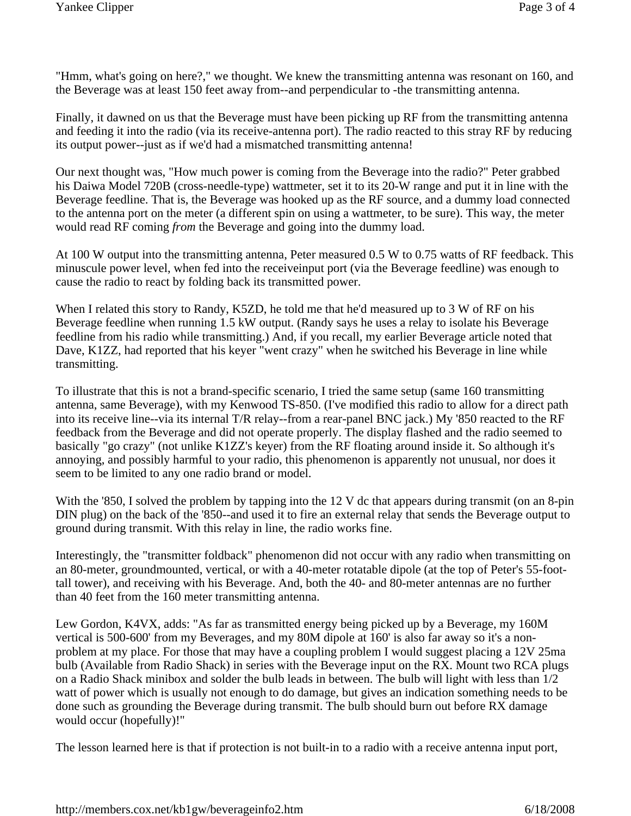"Hmm, what's going on here?," we thought. We knew the transmitting antenna was resonant on 160, and the Beverage was at least 150 feet away from--and perpendicular to -the transmitting antenna.

Finally, it dawned on us that the Beverage must have been picking up RF from the transmitting antenna and feeding it into the radio (via its receive-antenna port). The radio reacted to this stray RF by reducing its output power--just as if we'd had a mismatched transmitting antenna!

Our next thought was, "How much power is coming from the Beverage into the radio?" Peter grabbed his Daiwa Model 720B (cross-needle-type) wattmeter, set it to its 20-W range and put it in line with the Beverage feedline. That is, the Beverage was hooked up as the RF source, and a dummy load connected to the antenna port on the meter (a different spin on using a wattmeter, to be sure). This way, the meter would read RF coming *from* the Beverage and going into the dummy load.

At 100 W output into the transmitting antenna, Peter measured 0.5 W to 0.75 watts of RF feedback. This minuscule power level, when fed into the receiveinput port (via the Beverage feedline) was enough to cause the radio to react by folding back its transmitted power.

When I related this story to Randy, K5ZD, he told me that he'd measured up to 3 W of RF on his Beverage feedline when running 1.5 kW output. (Randy says he uses a relay to isolate his Beverage feedline from his radio while transmitting.) And, if you recall, my earlier Beverage article noted that Dave, K1ZZ, had reported that his keyer "went crazy" when he switched his Beverage in line while transmitting.

To illustrate that this is not a brand-specific scenario, I tried the same setup (same 160 transmitting antenna, same Beverage), with my Kenwood TS-850. (I've modified this radio to allow for a direct path into its receive line--via its internal T/R relay--from a rear-panel BNC jack.) My '850 reacted to the RF feedback from the Beverage and did not operate properly. The display flashed and the radio seemed to basically "go crazy" (not unlike K1ZZ's keyer) from the RF floating around inside it. So although it's annoying, and possibly harmful to your radio, this phenomenon is apparently not unusual, nor does it seem to be limited to any one radio brand or model.

With the '850, I solved the problem by tapping into the 12 V dc that appears during transmit (on an 8-pin DIN plug) on the back of the '850--and used it to fire an external relay that sends the Beverage output to ground during transmit. With this relay in line, the radio works fine.

Interestingly, the "transmitter foldback" phenomenon did not occur with any radio when transmitting on an 80-meter, groundmounted, vertical, or with a 40-meter rotatable dipole (at the top of Peter's 55-foottall tower), and receiving with his Beverage. And, both the 40- and 80-meter antennas are no further than 40 feet from the 160 meter transmitting antenna.

Lew Gordon, K4VX, adds: "As far as transmitted energy being picked up by a Beverage, my 160M vertical is 500-600' from my Beverages, and my 80M dipole at 160' is also far away so it's a nonproblem at my place. For those that may have a coupling problem I would suggest placing a 12V 25ma bulb (Available from Radio Shack) in series with the Beverage input on the RX. Mount two RCA plugs on a Radio Shack minibox and solder the bulb leads in between. The bulb will light with less than 1/2 watt of power which is usually not enough to do damage, but gives an indication something needs to be done such as grounding the Beverage during transmit. The bulb should burn out before RX damage would occur (hopefully)!"

The lesson learned here is that if protection is not built-in to a radio with a receive antenna input port,